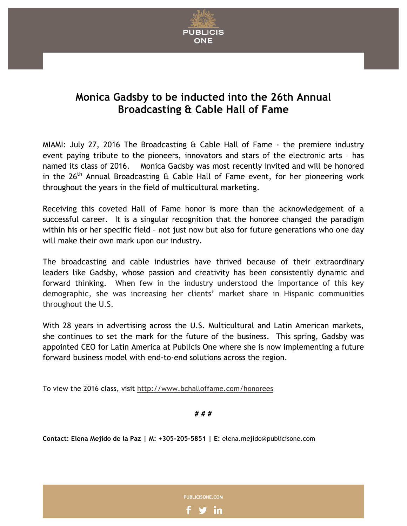

## **Monica Gadsby to be inducted into the 26th Annual Broadcasting & Cable Hall of Fame**

MIAMI: July 27, 2016 The Broadcasting & Cable Hall of Fame - the premiere industry event paying tribute to the pioneers, innovators and stars of the electronic arts – has named its class of 2016. Monica Gadsby was most recently invited and will be honored in the  $26<sup>th</sup>$  Annual Broadcasting & Cable Hall of Fame event, for her pioneering work throughout the years in the field of multicultural marketing.

Receiving this coveted Hall of Fame honor is more than the acknowledgement of a successful career. It is a singular recognition that the honoree changed the paradigm within his or her specific field – not just now but also for future generations who one day will make their own mark upon our industry.

The broadcasting and cable industries have thrived because of their extraordinary leaders like Gadsby, whose passion and creativity has been consistently dynamic and forward thinking. When few in the industry understood the importance of this key demographic, she was increasing her clients' market share in Hispanic communities throughout the U.S.

With 28 years in advertising across the U.S. Multicultural and Latin American markets, she continues to set the mark for the future of the business. This spring, Gadsby was appointed CEO for Latin America at Publicis One where she is now implementing a future forward business model with end-to-end solutions across the region.

To view the 2016 class, visit http://www.bchalloffame.com/honorees

**# # #**

**Contact: Elena Mejido de la Paz | M: +305-205-5851 | E:** elena.mejido@publicisone.com

**PUBLICISONE.COM**

in